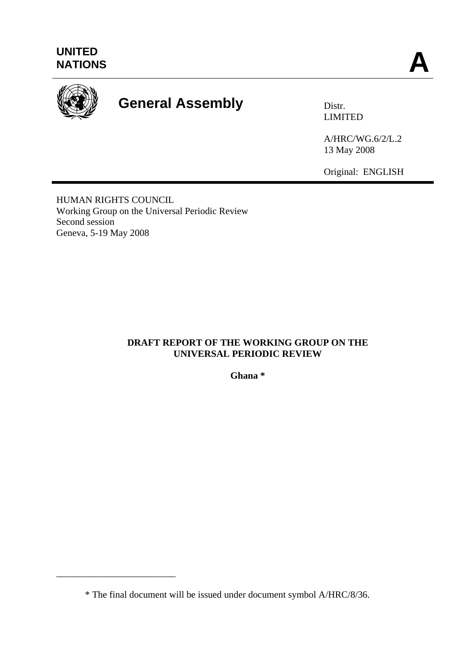

# General Assembly **Distr.**

LIMITED

A/HRC/WG.6/2/L.2 13 May 2008

Original: ENGLISH

HUMAN RIGHTS COUNCIL Working Group on the Universal Periodic Review Second session Geneva, 5-19 May 2008

\_\_\_\_\_\_\_\_\_\_\_\_\_\_\_\_\_\_\_\_\_\_\_\_\_

## **DRAFT REPORT OF THE WORKING GROUP ON THE UNIVERSAL PERIODIC REVIEW**

**Ghana \*** 

 <sup>\*</sup> The final document will be issued under document symbol A/HRC/8/36.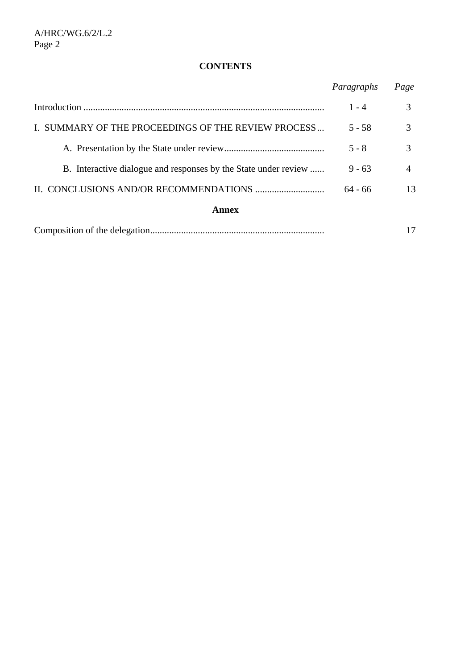# **CONTENTS**

|                                                                 | Paragraphs | Page           |
|-----------------------------------------------------------------|------------|----------------|
|                                                                 | $1 - 4$    | 3              |
| I. SUMMARY OF THE PROCEEDINGS OF THE REVIEW PROCESS             | $5 - 58$   | $\mathcal{R}$  |
|                                                                 | $5 - 8$    | 3              |
| B. Interactive dialogue and responses by the State under review | $9 - 63$   | $\overline{4}$ |
|                                                                 | $64 - 66$  | 13             |
| Annex                                                           |            |                |
|                                                                 |            | 17             |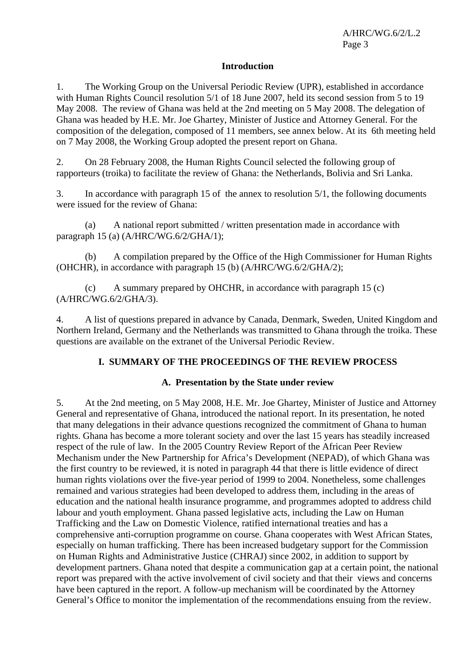## **Introduction**

1. The Working Group on the Universal Periodic Review (UPR), established in accordance with Human Rights Council resolution 5/1 of 18 June 2007, held its second session from 5 to 19 May 2008. The review of Ghana was held at the 2nd meeting on 5 May 2008. The delegation of Ghana was headed by H.E. Mr. Joe Ghartey, Minister of Justice and Attorney General. For the composition of the delegation, composed of 11 members, see annex below. At its 6th meeting held on 7 May 2008, the Working Group adopted the present report on Ghana.

2. On 28 February 2008, the Human Rights Council selected the following group of rapporteurs (troika) to facilitate the review of Ghana: the Netherlands, Bolivia and Sri Lanka.

3. In accordance with paragraph 15 of the annex to resolution 5/1, the following documents were issued for the review of Ghana:

(a) A national report submitted / written presentation made in accordance with paragraph 15 (a) (A/HRC/WG.6/2/GHA/1);

(b) A compilation prepared by the Office of the High Commissioner for Human Rights (OHCHR), in accordance with paragraph 15 (b) (A/HRC/WG.6/2/GHA/2);

(c) A summary prepared by OHCHR, in accordance with paragraph 15 (c) (A/HRC/WG.6/2/GHA/3).

4. A list of questions prepared in advance by Canada, Denmark, Sweden, United Kingdom and Northern Ireland, Germany and the Netherlands was transmitted to Ghana through the troika. These questions are available on the extranet of the Universal Periodic Review.

## **I. SUMMARY OF THE PROCEEDINGS OF THE REVIEW PROCESS**

### **A. Presentation by the State under review**

5. At the 2nd meeting, on 5 May 2008, H.E. Mr. Joe Ghartey, Minister of Justice and Attorney General and representative of Ghana, introduced the national report. In its presentation, he noted that many delegations in their advance questions recognized the commitment of Ghana to human rights. Ghana has become a more tolerant society and over the last 15 years has steadily increased respect of the rule of law. In the 2005 Country Review Report of the African Peer Review Mechanism under the New Partnership for Africa's Development (NEPAD), of which Ghana was the first country to be reviewed, it is noted in paragraph 44 that there is little evidence of direct human rights violations over the five-year period of 1999 to 2004. Nonetheless, some challenges remained and various strategies had been developed to address them, including in the areas of education and the national health insurance programme, and programmes adopted to address child labour and youth employment. Ghana passed legislative acts, including the Law on Human Trafficking and the Law on Domestic Violence, ratified international treaties and has a comprehensive anti-corruption programme on course. Ghana cooperates with West African States, especially on human trafficking. There has been increased budgetary support for the Commission on Human Rights and Administrative Justice (CHRAJ) since 2002, in addition to support by development partners. Ghana noted that despite a communication gap at a certain point, the national report was prepared with the active involvement of civil society and that their views and concerns have been captured in the report. A follow-up mechanism will be coordinated by the Attorney General's Office to monitor the implementation of the recommendations ensuing from the review.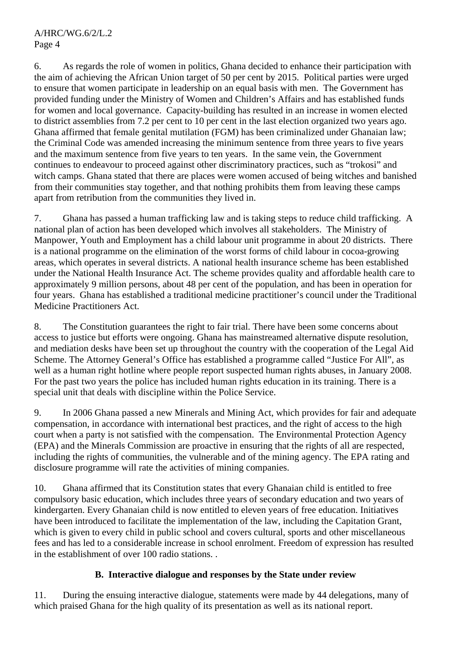A/HRC/WG.6/2/L.2 Page 4

6. As regards the role of women in politics, Ghana decided to enhance their participation with the aim of achieving the African Union target of 50 per cent by 2015. Political parties were urged to ensure that women participate in leadership on an equal basis with men. The Government has provided funding under the Ministry of Women and Children's Affairs and has established funds for women and local governance. Capacity-building has resulted in an increase in women elected to district assemblies from 7.2 per cent to 10 per cent in the last election organized two years ago. Ghana affirmed that female genital mutilation (FGM) has been criminalized under Ghanaian law; the Criminal Code was amended increasing the minimum sentence from three years to five years and the maximum sentence from five years to ten years. In the same vein, the Government continues to endeavour to proceed against other discriminatory practices, such as "trokosi" and witch camps. Ghana stated that there are places were women accused of being witches and banished from their communities stay together, and that nothing prohibits them from leaving these camps apart from retribution from the communities they lived in.

7. Ghana has passed a human trafficking law and is taking steps to reduce child trafficking. A national plan of action has been developed which involves all stakeholders. The Ministry of Manpower, Youth and Employment has a child labour unit programme in about 20 districts. There is a national programme on the elimination of the worst forms of child labour in cocoa-growing areas, which operates in several districts. A national health insurance scheme has been established under the National Health Insurance Act. The scheme provides quality and affordable health care to approximately 9 million persons, about 48 per cent of the population, and has been in operation for four years. Ghana has established a traditional medicine practitioner's council under the Traditional Medicine Practitioners Act.

8. The Constitution guarantees the right to fair trial. There have been some concerns about access to justice but efforts were ongoing. Ghana has mainstreamed alternative dispute resolution, and mediation desks have been set up throughout the country with the cooperation of the Legal Aid Scheme. The Attorney General's Office has established a programme called "Justice For All", as well as a human right hotline where people report suspected human rights abuses, in January 2008. For the past two years the police has included human rights education in its training. There is a special unit that deals with discipline within the Police Service.

9. In 2006 Ghana passed a new Minerals and Mining Act, which provides for fair and adequate compensation, in accordance with international best practices, and the right of access to the high court when a party is not satisfied with the compensation. The Environmental Protection Agency (EPA) and the Minerals Commission are proactive in ensuring that the rights of all are respected, including the rights of communities, the vulnerable and of the mining agency. The EPA rating and disclosure programme will rate the activities of mining companies.

10. Ghana affirmed that its Constitution states that every Ghanaian child is entitled to free compulsory basic education, which includes three years of secondary education and two years of kindergarten. Every Ghanaian child is now entitled to eleven years of free education. Initiatives have been introduced to facilitate the implementation of the law, including the Capitation Grant, which is given to every child in public school and covers cultural, sports and other miscellaneous fees and has led to a considerable increase in school enrolment. Freedom of expression has resulted in the establishment of over 100 radio stations. .

## **B. Interactive dialogue and responses by the State under review**

11. During the ensuing interactive dialogue, statements were made by 44 delegations, many of which praised Ghana for the high quality of its presentation as well as its national report.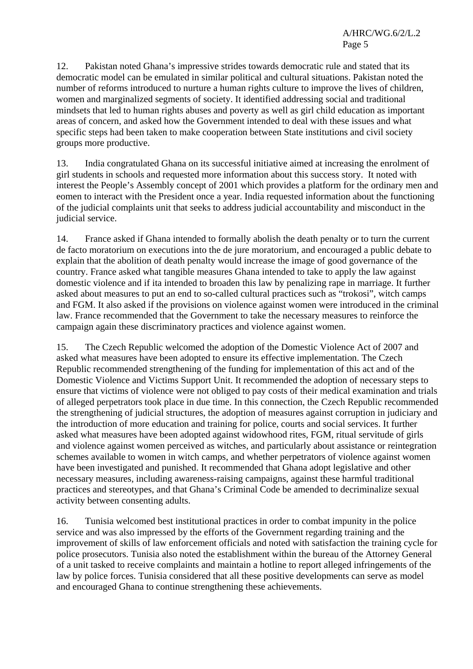12. Pakistan noted Ghana's impressive strides towards democratic rule and stated that its democratic model can be emulated in similar political and cultural situations. Pakistan noted the number of reforms introduced to nurture a human rights culture to improve the lives of children, women and marginalized segments of society. It identified addressing social and traditional mindsets that led to human rights abuses and poverty as well as girl child education as important areas of concern, and asked how the Government intended to deal with these issues and what specific steps had been taken to make cooperation between State institutions and civil society groups more productive.

13. India congratulated Ghana on its successful initiative aimed at increasing the enrolment of girl students in schools and requested more information about this success story. It noted with interest the People's Assembly concept of 2001 which provides a platform for the ordinary men and eomen to interact with the President once a year. India requested information about the functioning of the judicial complaints unit that seeks to address judicial accountability and misconduct in the judicial service.

14. France asked if Ghana intended to formally abolish the death penalty or to turn the current de facto moratorium on executions into the de jure moratorium, and encouraged a public debate to explain that the abolition of death penalty would increase the image of good governance of the country. France asked what tangible measures Ghana intended to take to apply the law against domestic violence and if ita intended to broaden this law by penalizing rape in marriage. It further asked about measures to put an end to so-called cultural practices such as "trokosi", witch camps and FGM. It also asked if the provisions on violence against women were introduced in the criminal law. France recommended that the Government to take the necessary measures to reinforce the campaign again these discriminatory practices and violence against women.

15. The Czech Republic welcomed the adoption of the Domestic Violence Act of 2007 and asked what measures have been adopted to ensure its effective implementation. The Czech Republic recommended strengthening of the funding for implementation of this act and of the Domestic Violence and Victims Support Unit. It recommended the adoption of necessary steps to ensure that victims of violence were not obliged to pay costs of their medical examination and trials of alleged perpetrators took place in due time. In this connection, the Czech Republic recommended the strengthening of judicial structures, the adoption of measures against corruption in judiciary and the introduction of more education and training for police, courts and social services. It further asked what measures have been adopted against widowhood rites, FGM, ritual servitude of girls and violence against women perceived as witches, and particularly about assistance or reintegration schemes available to women in witch camps, and whether perpetrators of violence against women have been investigated and punished. It recommended that Ghana adopt legislative and other necessary measures, including awareness-raising campaigns, against these harmful traditional practices and stereotypes, and that Ghana's Criminal Code be amended to decriminalize sexual activity between consenting adults.

16. Tunisia welcomed best institutional practices in order to combat impunity in the police service and was also impressed by the efforts of the Government regarding training and the improvement of skills of law enforcement officials and noted with satisfaction the training cycle for police prosecutors. Tunisia also noted the establishment within the bureau of the Attorney General of a unit tasked to receive complaints and maintain a hotline to report alleged infringements of the law by police forces. Tunisia considered that all these positive developments can serve as model and encouraged Ghana to continue strengthening these achievements.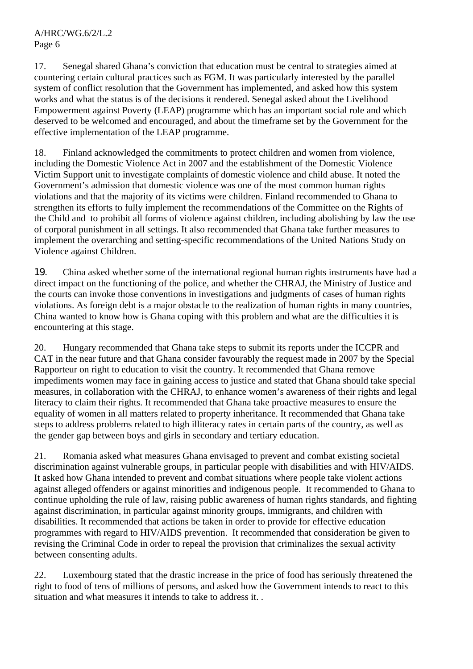17. Senegal shared Ghana's conviction that education must be central to strategies aimed at countering certain cultural practices such as FGM. It was particularly interested by the parallel system of conflict resolution that the Government has implemented, and asked how this system works and what the status is of the decisions it rendered. Senegal asked about the Livelihood Empowerment against Poverty (LEAP) programme which has an important social role and which deserved to be welcomed and encouraged, and about the timeframe set by the Government for the effective implementation of the LEAP programme.

18. Finland acknowledged the commitments to protect children and women from violence, including the Domestic Violence Act in 2007 and the establishment of the Domestic Violence Victim Support unit to investigate complaints of domestic violence and child abuse. It noted the Government's admission that domestic violence was one of the most common human rights violations and that the majority of its victims were children. Finland recommended to Ghana to strengthen its efforts to fully implement the recommendations of the Committee on the Rights of the Child and to prohibit all forms of violence against children, including abolishing by law the use of corporal punishment in all settings. It also recommended that Ghana take further measures to implement the overarching and setting-specific recommendations of the United Nations Study on Violence against Children.

19. China asked whether some of the international regional human rights instruments have had a direct impact on the functioning of the police, and whether the CHRAJ, the Ministry of Justice and the courts can invoke those conventions in investigations and judgments of cases of human rights violations. As foreign debt is a major obstacle to the realization of human rights in many countries, China wanted to know how is Ghana coping with this problem and what are the difficulties it is encountering at this stage.

20. Hungary recommended that Ghana take steps to submit its reports under the ICCPR and CAT in the near future and that Ghana consider favourably the request made in 2007 by the Special Rapporteur on right to education to visit the country. It recommended that Ghana remove impediments women may face in gaining access to justice and stated that Ghana should take special measures, in collaboration with the CHRAJ, to enhance women's awareness of their rights and legal literacy to claim their rights. It recommended that Ghana take proactive measures to ensure the equality of women in all matters related to property inheritance. It recommended that Ghana take steps to address problems related to high illiteracy rates in certain parts of the country, as well as the gender gap between boys and girls in secondary and tertiary education.

21. Romania asked what measures Ghana envisaged to prevent and combat existing societal discrimination against vulnerable groups, in particular people with disabilities and with HIV/AIDS. It asked how Ghana intended to prevent and combat situations where people take violent actions against alleged offenders or against minorities and indigenous people. It recommended to Ghana to continue upholding the rule of law, raising public awareness of human rights standards, and fighting against discrimination, in particular against minority groups, immigrants, and children with disabilities. It recommended that actions be taken in order to provide for effective education programmes with regard to HIV/AIDS prevention. It recommended that consideration be given to revising the Criminal Code in order to repeal the provision that criminalizes the sexual activity between consenting adults.

22. Luxembourg stated that the drastic increase in the price of food has seriously threatened the right to food of tens of millions of persons, and asked how the Government intends to react to this situation and what measures it intends to take to address it. .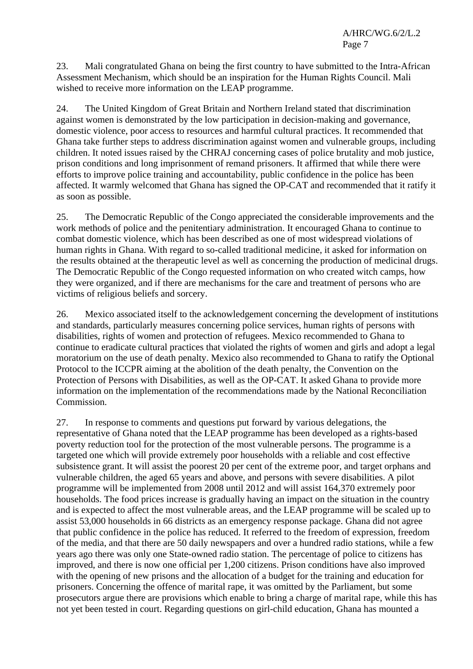23. Mali congratulated Ghana on being the first country to have submitted to the Intra-African Assessment Mechanism, which should be an inspiration for the Human Rights Council. Mali wished to receive more information on the LEAP programme.

24. The United Kingdom of Great Britain and Northern Ireland stated that discrimination against women is demonstrated by the low participation in decision-making and governance, domestic violence, poor access to resources and harmful cultural practices. It recommended that Ghana take further steps to address discrimination against women and vulnerable groups, including children. It noted issues raised by the CHRAJ concerning cases of police brutality and mob justice, prison conditions and long imprisonment of remand prisoners. It affirmed that while there were efforts to improve police training and accountability, public confidence in the police has been affected. It warmly welcomed that Ghana has signed the OP-CAT and recommended that it ratify it as soon as possible.

25. The Democratic Republic of the Congo appreciated the considerable improvements and the work methods of police and the penitentiary administration. It encouraged Ghana to continue to combat domestic violence, which has been described as one of most widespread violations of human rights in Ghana. With regard to so-called traditional medicine, it asked for information on the results obtained at the therapeutic level as well as concerning the production of medicinal drugs. The Democratic Republic of the Congo requested information on who created witch camps, how they were organized, and if there are mechanisms for the care and treatment of persons who are victims of religious beliefs and sorcery.

26. Mexico associated itself to the acknowledgement concerning the development of institutions and standards, particularly measures concerning police services, human rights of persons with disabilities, rights of women and protection of refugees. Mexico recommended to Ghana to continue to eradicate cultural practices that violated the rights of women and girls and adopt a legal moratorium on the use of death penalty. Mexico also recommended to Ghana to ratify the Optional Protocol to the ICCPR aiming at the abolition of the death penalty, the Convention on the Protection of Persons with Disabilities, as well as the OP-CAT. It asked Ghana to provide more information on the implementation of the recommendations made by the National Reconciliation Commission.

27. In response to comments and questions put forward by various delegations, the representative of Ghana noted that the LEAP programme has been developed as a rights-based poverty reduction tool for the protection of the most vulnerable persons. The programme is a targeted one which will provide extremely poor households with a reliable and cost effective subsistence grant. It will assist the poorest 20 per cent of the extreme poor, and target orphans and vulnerable children, the aged 65 years and above, and persons with severe disabilities. A pilot programme will be implemented from 2008 until 2012 and will assist 164,370 extremely poor households. The food prices increase is gradually having an impact on the situation in the country and is expected to affect the most vulnerable areas, and the LEAP programme will be scaled up to assist 53,000 households in 66 districts as an emergency response package. Ghana did not agree that public confidence in the police has reduced. It referred to the freedom of expression, freedom of the media, and that there are 50 daily newspapers and over a hundred radio stations, while a few years ago there was only one State-owned radio station. The percentage of police to citizens has improved, and there is now one official per 1,200 citizens. Prison conditions have also improved with the opening of new prisons and the allocation of a budget for the training and education for prisoners. Concerning the offence of marital rape, it was omitted by the Parliament, but some prosecutors argue there are provisions which enable to bring a charge of marital rape, while this has not yet been tested in court. Regarding questions on girl-child education, Ghana has mounted a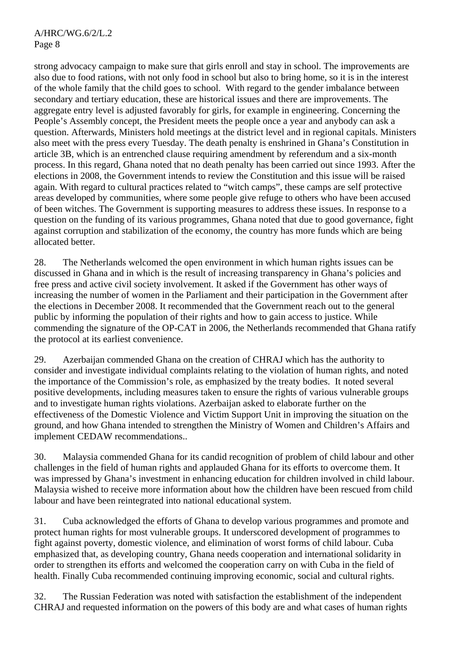strong advocacy campaign to make sure that girls enroll and stay in school. The improvements are also due to food rations, with not only food in school but also to bring home, so it is in the interest of the whole family that the child goes to school. With regard to the gender imbalance between secondary and tertiary education, these are historical issues and there are improvements. The aggregate entry level is adjusted favorably for girls, for example in engineering. Concerning the People's Assembly concept, the President meets the people once a year and anybody can ask a question. Afterwards, Ministers hold meetings at the district level and in regional capitals. Ministers also meet with the press every Tuesday. The death penalty is enshrined in Ghana's Constitution in article 3B, which is an entrenched clause requiring amendment by referendum and a six-month process. In this regard, Ghana noted that no death penalty has been carried out since 1993. After the elections in 2008, the Government intends to review the Constitution and this issue will be raised again. With regard to cultural practices related to "witch camps", these camps are self protective areas developed by communities, where some people give refuge to others who have been accused of been witches. The Government is supporting measures to address these issues. In response to a question on the funding of its various programmes, Ghana noted that due to good governance, fight against corruption and stabilization of the economy, the country has more funds which are being allocated better.

28. The Netherlands welcomed the open environment in which human rights issues can be discussed in Ghana and in which is the result of increasing transparency in Ghana's policies and free press and active civil society involvement. It asked if the Government has other ways of increasing the number of women in the Parliament and their participation in the Government after the elections in December 2008. It recommended that the Government reach out to the general public by informing the population of their rights and how to gain access to justice. While commending the signature of the OP-CAT in 2006, the Netherlands recommended that Ghana ratify the protocol at its earliest convenience.

29. Azerbaijan commended Ghana on the creation of CHRAJ which has the authority to consider and investigate individual complaints relating to the violation of human rights, and noted the importance of the Commission's role, as emphasized by the treaty bodies. It noted several positive developments, including measures taken to ensure the rights of various vulnerable groups and to investigate human rights violations. Azerbaijan asked to elaborate further on the effectiveness of the Domestic Violence and Victim Support Unit in improving the situation on the ground, and how Ghana intended to strengthen the Ministry of Women and Children's Affairs and implement CEDAW recommendations..

30. Malaysia commended Ghana for its candid recognition of problem of child labour and other challenges in the field of human rights and applauded Ghana for its efforts to overcome them. It was impressed by Ghana's investment in enhancing education for children involved in child labour. Malaysia wished to receive more information about how the children have been rescued from child labour and have been reintegrated into national educational system.

31. Cuba acknowledged the efforts of Ghana to develop various programmes and promote and protect human rights for most vulnerable groups. It underscored development of programmes to fight against poverty, domestic violence, and elimination of worst forms of child labour. Cuba emphasized that, as developing country, Ghana needs cooperation and international solidarity in order to strengthen its efforts and welcomed the cooperation carry on with Cuba in the field of health. Finally Cuba recommended continuing improving economic, social and cultural rights.

32. The Russian Federation was noted with satisfaction the establishment of the independent CHRAJ and requested information on the powers of this body are and what cases of human rights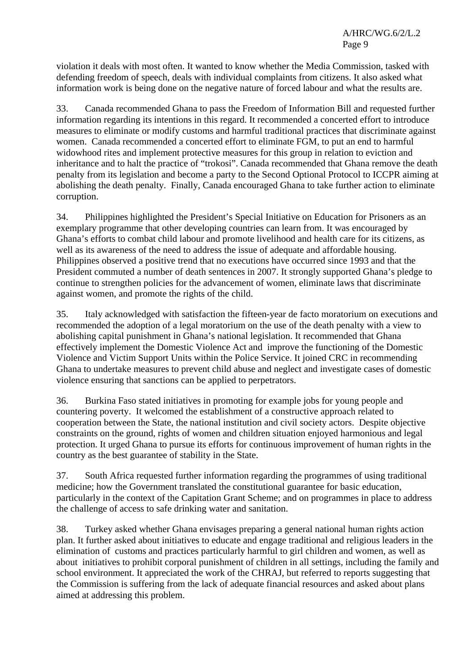violation it deals with most often. It wanted to know whether the Media Commission, tasked with defending freedom of speech, deals with individual complaints from citizens. It also asked what information work is being done on the negative nature of forced labour and what the results are.

33. Canada recommended Ghana to pass the Freedom of Information Bill and requested further information regarding its intentions in this regard. It recommended a concerted effort to introduce measures to eliminate or modify customs and harmful traditional practices that discriminate against women. Canada recommended a concerted effort to eliminate FGM, to put an end to harmful widowhood rites and implement protective measures for this group in relation to eviction and inheritance and to halt the practice of "trokosi". Canada recommended that Ghana remove the death penalty from its legislation and become a party to the Second Optional Protocol to ICCPR aiming at abolishing the death penalty. Finally, Canada encouraged Ghana to take further action to eliminate corruption.

34. Philippines highlighted the President's Special Initiative on Education for Prisoners as an exemplary programme that other developing countries can learn from. It was encouraged by Ghana's efforts to combat child labour and promote livelihood and health care for its citizens, as well as its awareness of the need to address the issue of adequate and affordable housing. Philippines observed a positive trend that no executions have occurred since 1993 and that the President commuted a number of death sentences in 2007. It strongly supported Ghana's pledge to continue to strengthen policies for the advancement of women, eliminate laws that discriminate against women, and promote the rights of the child.

35. Italy acknowledged with satisfaction the fifteen-year de facto moratorium on executions and recommended the adoption of a legal moratorium on the use of the death penalty with a view to abolishing capital punishment in Ghana's national legislation. It recommended that Ghana effectively implement the Domestic Violence Act and improve the functioning of the Domestic Violence and Victim Support Units within the Police Service. It joined CRC in recommending Ghana to undertake measures to prevent child abuse and neglect and investigate cases of domestic violence ensuring that sanctions can be applied to perpetrators.

36. Burkina Faso stated initiatives in promoting for example jobs for young people and countering poverty. It welcomed the establishment of a constructive approach related to cooperation between the State, the national institution and civil society actors. Despite objective constraints on the ground, rights of women and children situation enjoyed harmonious and legal protection. It urged Ghana to pursue its efforts for continuous improvement of human rights in the country as the best guarantee of stability in the State.

37. South Africa requested further information regarding the programmes of using traditional medicine; how the Government translated the constitutional guarantee for basic education, particularly in the context of the Capitation Grant Scheme; and on programmes in place to address the challenge of access to safe drinking water and sanitation.

38. Turkey asked whether Ghana envisages preparing a general national human rights action plan. It further asked about initiatives to educate and engage traditional and religious leaders in the elimination of customs and practices particularly harmful to girl children and women, as well as about initiatives to prohibit corporal punishment of children in all settings, including the family and school environment. It appreciated the work of the CHRAJ, but referred to reports suggesting that the Commission is suffering from the lack of adequate financial resources and asked about plans aimed at addressing this problem.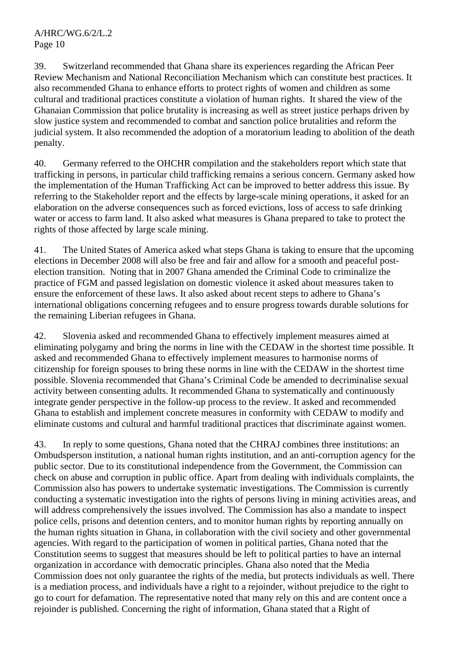39. Switzerland recommended that Ghana share its experiences regarding the African Peer Review Mechanism and National Reconciliation Mechanism which can constitute best practices. It also recommended Ghana to enhance efforts to protect rights of women and children as some cultural and traditional practices constitute a violation of human rights. It shared the view of the Ghanaian Commission that police brutality is increasing as well as street justice perhaps driven by slow justice system and recommended to combat and sanction police brutalities and reform the judicial system. It also recommended the adoption of a moratorium leading to abolition of the death penalty.

40. Germany referred to the OHCHR compilation and the stakeholders report which state that trafficking in persons, in particular child trafficking remains a serious concern. Germany asked how the implementation of the Human Trafficking Act can be improved to better address this issue. By referring to the Stakeholder report and the effects by large-scale mining operations, it asked for an elaboration on the adverse consequences such as forced evictions, loss of access to safe drinking water or access to farm land. It also asked what measures is Ghana prepared to take to protect the rights of those affected by large scale mining.

41. The United States of America asked what steps Ghana is taking to ensure that the upcoming elections in December 2008 will also be free and fair and allow for a smooth and peaceful postelection transition. Noting that in 2007 Ghana amended the Criminal Code to criminalize the practice of FGM and passed legislation on domestic violence it asked about measures taken to ensure the enforcement of these laws. It also asked about recent steps to adhere to Ghana's international obligations concerning refugees and to ensure progress towards durable solutions for the remaining Liberian refugees in Ghana.

42. Slovenia asked and recommended Ghana to effectively implement measures aimed at eliminating polygamy and bring the norms in line with the CEDAW in the shortest time possible. It asked and recommended Ghana to effectively implement measures to harmonise norms of citizenship for foreign spouses to bring these norms in line with the CEDAW in the shortest time possible. Slovenia recommended that Ghana's Criminal Code be amended to decriminalise sexual activity between consenting adults. It recommended Ghana to systematically and continuously integrate gender perspective in the follow-up process to the review. It asked and recommended Ghana to establish and implement concrete measures in conformity with CEDAW to modify and eliminate customs and cultural and harmful traditional practices that discriminate against women.

43. In reply to some questions, Ghana noted that the CHRAJ combines three institutions: an Ombudsperson institution, a national human rights institution, and an anti-corruption agency for the public sector. Due to its constitutional independence from the Government, the Commission can check on abuse and corruption in public office. Apart from dealing with individuals complaints, the Commission also has powers to undertake systematic investigations. The Commission is currently conducting a systematic investigation into the rights of persons living in mining activities areas, and will address comprehensively the issues involved. The Commission has also a mandate to inspect police cells, prisons and detention centers, and to monitor human rights by reporting annually on the human rights situation in Ghana, in collaboration with the civil society and other governmental agencies. With regard to the participation of women in political parties, Ghana noted that the Constitution seems to suggest that measures should be left to political parties to have an internal organization in accordance with democratic principles. Ghana also noted that the Media Commission does not only guarantee the rights of the media, but protects individuals as well. There is a mediation process, and individuals have a right to a rejoinder, without prejudice to the right to go to court for defamation. The representative noted that many rely on this and are content once a rejoinder is published. Concerning the right of information, Ghana stated that a Right of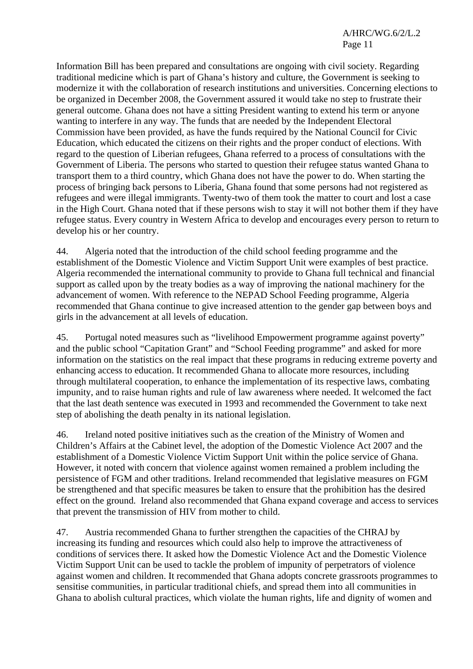Information Bill has been prepared and consultations are ongoing with civil society. Regarding traditional medicine which is part of Ghana's history and culture, the Government is seeking to modernize it with the collaboration of research institutions and universities. Concerning elections to be organized in December 2008, the Government assured it would take no step to frustrate their general outcome. Ghana does not have a sitting President wanting to extend his term or anyone wanting to interfere in any way. The funds that are needed by the Independent Electoral Commission have been provided, as have the funds required by the National Council for Civic Education, which educated the citizens on their rights and the proper conduct of elections. With regard to the question of Liberian refugees, Ghana referred to a process of consultations with the Government of Liberia. The persons who started to question their refugee status wanted Ghana to transport them to a third country, which Ghana does not have the power to do. When starting the process of bringing back persons to Liberia, Ghana found that some persons had not registered as refugees and were illegal immigrants. Twenty-two of them took the matter to court and lost a case in the High Court. Ghana noted that if these persons wish to stay it will not bother them if they have refugee status. Every country in Western Africa to develop and encourages every person to return to develop his or her country.

44. Algeria noted that the introduction of the child school feeding programme and the establishment of the Domestic Violence and Victim Support Unit were examples of best practice. Algeria recommended the international community to provide to Ghana full technical and financial support as called upon by the treaty bodies as a way of improving the national machinery for the advancement of women. With reference to the NEPAD School Feeding programme, Algeria recommended that Ghana continue to give increased attention to the gender gap between boys and girls in the advancement at all levels of education.

45. Portugal noted measures such as "livelihood Empowerment programme against poverty" and the public school "Capitation Grant" and "School Feeding programme" and asked for more information on the statistics on the real impact that these programs in reducing extreme poverty and enhancing access to education. It recommended Ghana to allocate more resources, including through multilateral cooperation, to enhance the implementation of its respective laws, combating impunity, and to raise human rights and rule of law awareness where needed. It welcomed the fact that the last death sentence was executed in 1993 and recommended the Government to take next step of abolishing the death penalty in its national legislation.

46. Ireland noted positive initiatives such as the creation of the Ministry of Women and Children's Affairs at the Cabinet level, the adoption of the Domestic Violence Act 2007 and the establishment of a Domestic Violence Victim Support Unit within the police service of Ghana. However, it noted with concern that violence against women remained a problem including the persistence of FGM and other traditions. Ireland recommended that legislative measures on FGM be strengthened and that specific measures be taken to ensure that the prohibition has the desired effect on the ground. Ireland also recommended that Ghana expand coverage and access to services that prevent the transmission of HIV from mother to child.

47. Austria recommended Ghana to further strengthen the capacities of the CHRAJ by increasing its funding and resources which could also help to improve the attractiveness of conditions of services there. It asked how the Domestic Violence Act and the Domestic Violence Victim Support Unit can be used to tackle the problem of impunity of perpetrators of violence against women and children. It recommended that Ghana adopts concrete grassroots programmes to sensitise communities, in particular traditional chiefs, and spread them into all communities in Ghana to abolish cultural practices, which violate the human rights, life and dignity of women and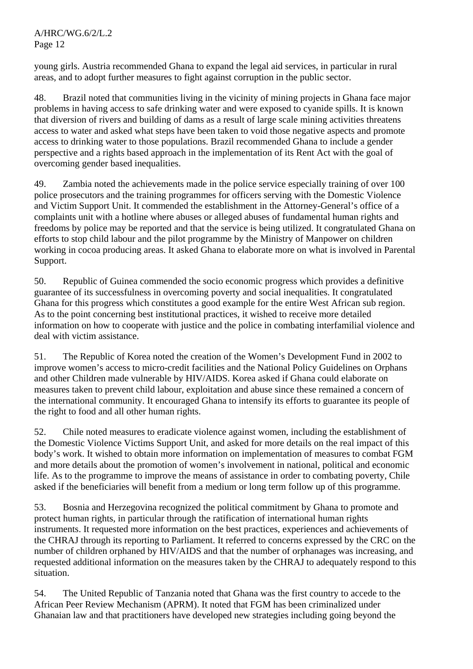A/HRC/WG.6/2/L.2 Page 12

young girls. Austria recommended Ghana to expand the legal aid services, in particular in rural areas, and to adopt further measures to fight against corruption in the public sector.

48. Brazil noted that communities living in the vicinity of mining projects in Ghana face major problems in having access to safe drinking water and were exposed to cyanide spills. It is known that diversion of rivers and building of dams as a result of large scale mining activities threatens access to water and asked what steps have been taken to void those negative aspects and promote access to drinking water to those populations. Brazil recommended Ghana to include a gender perspective and a rights based approach in the implementation of its Rent Act with the goal of overcoming gender based inequalities.

49. Zambia noted the achievements made in the police service especially training of over 100 police prosecutors and the training programmes for officers serving with the Domestic Violence and Victim Support Unit. It commended the establishment in the Attorney-General's office of a complaints unit with a hotline where abuses or alleged abuses of fundamental human rights and freedoms by police may be reported and that the service is being utilized. It congratulated Ghana on efforts to stop child labour and the pilot programme by the Ministry of Manpower on children working in cocoa producing areas. It asked Ghana to elaborate more on what is involved in Parental Support.

50. Republic of Guinea commended the socio economic progress which provides a definitive guarantee of its successfulness in overcoming poverty and social inequalities. It congratulated Ghana for this progress which constitutes a good example for the entire West African sub region. As to the point concerning best institutional practices, it wished to receive more detailed information on how to cooperate with justice and the police in combating interfamilial violence and deal with victim assistance.

51. The Republic of Korea noted the creation of the Women's Development Fund in 2002 to improve women's access to micro-credit facilities and the National Policy Guidelines on Orphans and other Children made vulnerable by HIV/AIDS. Korea asked if Ghana could elaborate on measures taken to prevent child labour, exploitation and abuse since these remained a concern of the international community. It encouraged Ghana to intensify its efforts to guarantee its people of the right to food and all other human rights.

52. Chile noted measures to eradicate violence against women, including the establishment of the Domestic Violence Victims Support Unit, and asked for more details on the real impact of this body's work. It wished to obtain more information on implementation of measures to combat FGM and more details about the promotion of women's involvement in national, political and economic life. As to the programme to improve the means of assistance in order to combating poverty, Chile asked if the beneficiaries will benefit from a medium or long term follow up of this programme.

53. Bosnia and Herzegovina recognized the political commitment by Ghana to promote and protect human rights, in particular through the ratification of international human rights instruments. It requested more information on the best practices, experiences and achievements of the CHRAJ through its reporting to Parliament. It referred to concerns expressed by the CRC on the number of children orphaned by HIV/AIDS and that the number of orphanages was increasing, and requested additional information on the measures taken by the CHRAJ to adequately respond to this situation.

54. The United Republic of Tanzania noted that Ghana was the first country to accede to the African Peer Review Mechanism (APRM). It noted that FGM has been criminalized under Ghanaian law and that practitioners have developed new strategies including going beyond the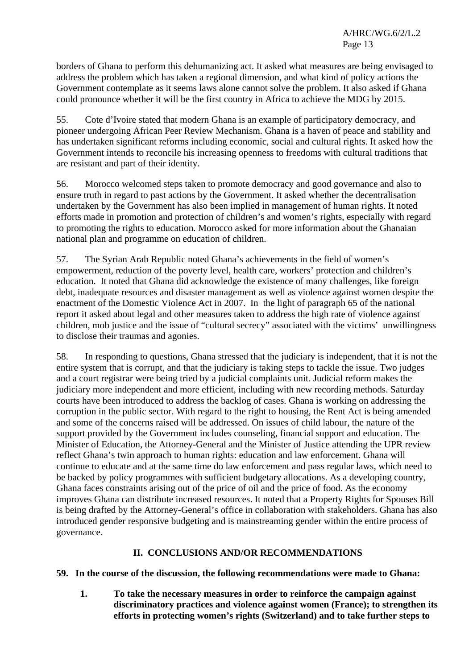borders of Ghana to perform this dehumanizing act. It asked what measures are being envisaged to address the problem which has taken a regional dimension, and what kind of policy actions the Government contemplate as it seems laws alone cannot solve the problem. It also asked if Ghana could pronounce whether it will be the first country in Africa to achieve the MDG by 2015.

55. Cote d'Ivoire stated that modern Ghana is an example of participatory democracy, and pioneer undergoing African Peer Review Mechanism. Ghana is a haven of peace and stability and has undertaken significant reforms including economic, social and cultural rights. It asked how the Government intends to reconcile his increasing openness to freedoms with cultural traditions that are resistant and part of their identity.

56. Morocco welcomed steps taken to promote democracy and good governance and also to ensure truth in regard to past actions by the Government. It asked whether the decentralisation undertaken by the Government has also been implied in management of human rights. It noted efforts made in promotion and protection of children's and women's rights, especially with regard to promoting the rights to education. Morocco asked for more information about the Ghanaian national plan and programme on education of children.

57. The Syrian Arab Republic noted Ghana's achievements in the field of women's empowerment, reduction of the poverty level, health care, workers' protection and children's education. It noted that Ghana did acknowledge the existence of many challenges, like foreign debt, inadequate resources and disaster management as well as violence against women despite the enactment of the Domestic Violence Act in 2007. In the light of paragraph 65 of the national report it asked about legal and other measures taken to address the high rate of violence against children, mob justice and the issue of "cultural secrecy" associated with the victims' unwillingness to disclose their traumas and agonies.

58. In responding to questions, Ghana stressed that the judiciary is independent, that it is not the entire system that is corrupt, and that the judiciary is taking steps to tackle the issue. Two judges and a court registrar were being tried by a judicial complaints unit. Judicial reform makes the judiciary more independent and more efficient, including with new recording methods. Saturday courts have been introduced to address the backlog of cases. Ghana is working on addressing the corruption in the public sector. With regard to the right to housing, the Rent Act is being amended and some of the concerns raised will be addressed. On issues of child labour, the nature of the support provided by the Government includes counseling, financial support and education. The Minister of Education, the Attorney-General and the Minister of Justice attending the UPR review reflect Ghana's twin approach to human rights: education and law enforcement. Ghana will continue to educate and at the same time do law enforcement and pass regular laws, which need to be backed by policy programmes with sufficient budgetary allocations. As a developing country, Ghana faces constraints arising out of the price of oil and the price of food. As the economy improves Ghana can distribute increased resources. It noted that a Property Rights for Spouses Bill is being drafted by the Attorney-General's office in collaboration with stakeholders. Ghana has also introduced gender responsive budgeting and is mainstreaming gender within the entire process of governance.

## **II. CONCLUSIONS AND/OR RECOMMENDATIONS**

## **59. In the course of the discussion, the following recommendations were made to Ghana:**

**1. To take the necessary measures in order to reinforce the campaign against discriminatory practices and violence against women (France); to strengthen its efforts in protecting women's rights (Switzerland) and to take further steps to**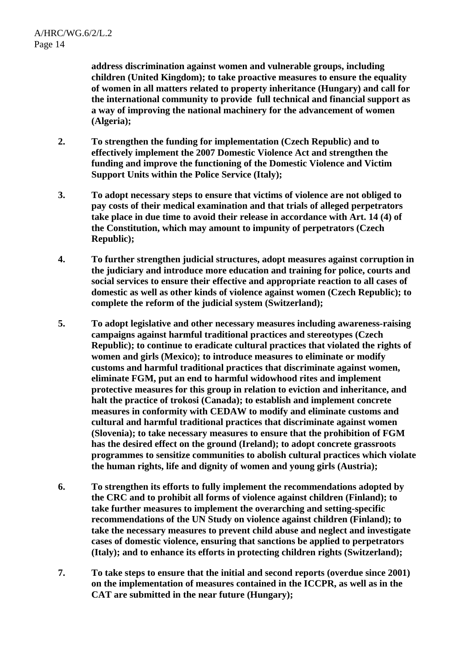**address discrimination against women and vulnerable groups, including children (United Kingdom); to take proactive measures to ensure the equality of women in all matters related to property inheritance (Hungary) and call for the international community to provide full technical and financial support as a way of improving the national machinery for the advancement of women (Algeria);** 

- **2. To strengthen the funding for implementation (Czech Republic) and to effectively implement the 2007 Domestic Violence Act and strengthen the funding and improve the functioning of the Domestic Violence and Victim Support Units within the Police Service (Italy);**
- **3. To adopt necessary steps to ensure that victims of violence are not obliged to pay costs of their medical examination and that trials of alleged perpetrators take place in due time to avoid their release in accordance with Art. 14 (4) of the Constitution, which may amount to impunity of perpetrators (Czech Republic);**
- **4. To further strengthen judicial structures, adopt measures against corruption in the judiciary and introduce more education and training for police, courts and social services to ensure their effective and appropriate reaction to all cases of domestic as well as other kinds of violence against women (Czech Republic); to complete the reform of the judicial system (Switzerland);**
- **5. To adopt legislative and other necessary measures including awareness-raising campaigns against harmful traditional practices and stereotypes (Czech Republic); to continue to eradicate cultural practices that violated the rights of women and girls (Mexico); to introduce measures to eliminate or modify customs and harmful traditional practices that discriminate against women, eliminate FGM, put an end to harmful widowhood rites and implement protective measures for this group in relation to eviction and inheritance, and halt the practice of trokosi (Canada); to establish and implement concrete measures in conformity with CEDAW to modify and eliminate customs and cultural and harmful traditional practices that discriminate against women (Slovenia); to take necessary measures to ensure that the prohibition of FGM has the desired effect on the ground (Ireland); to adopt concrete grassroots programmes to sensitize communities to abolish cultural practices which violate the human rights, life and dignity of women and young girls (Austria);**
- **6. To strengthen its efforts to fully implement the recommendations adopted by the CRC and to prohibit all forms of violence against children (Finland); to take further measures to implement the overarching and setting-specific recommendations of the UN Study on violence against children (Finland); to take the necessary measures to prevent child abuse and neglect and investigate cases of domestic violence, ensuring that sanctions be applied to perpetrators (Italy); and to enhance its efforts in protecting children rights (Switzerland);**
- **7. To take steps to ensure that the initial and second reports (overdue since 2001) on the implementation of measures contained in the ICCPR, as well as in the CAT are submitted in the near future (Hungary);**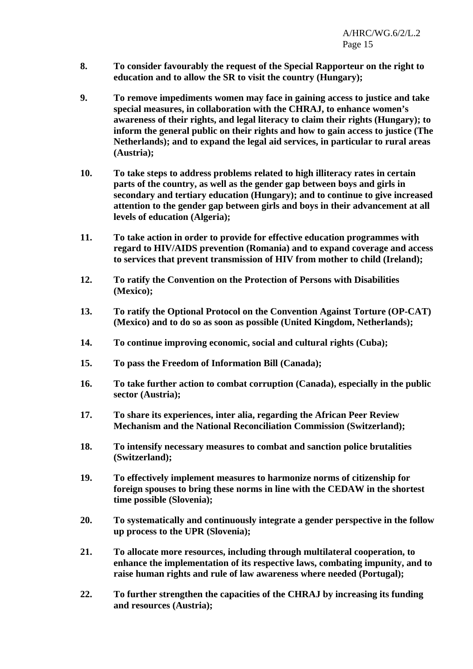- **8. To consider favourably the request of the Special Rapporteur on the right to education and to allow the SR to visit the country (Hungary);**
- **9. To remove impediments women may face in gaining access to justice and take special measures, in collaboration with the CHRAJ, to enhance women's awareness of their rights, and legal literacy to claim their rights (Hungary); to inform the general public on their rights and how to gain access to justice (The Netherlands); and to expand the legal aid services, in particular to rural areas (Austria);**
- **10. To take steps to address problems related to high illiteracy rates in certain parts of the country, as well as the gender gap between boys and girls in secondary and tertiary education (Hungary); and to continue to give increased attention to the gender gap between girls and boys in their advancement at all levels of education (Algeria);**
- **11. To take action in order to provide for effective education programmes with regard to HIV/AIDS prevention (Romania) and to expand coverage and access to services that prevent transmission of HIV from mother to child (Ireland);**
- **12. To ratify the Convention on the Protection of Persons with Disabilities (Mexico);**
- **13. To ratify the Optional Protocol on the Convention Against Torture (OP-CAT) (Mexico) and to do so as soon as possible (United Kingdom, Netherlands);**
- **14. To continue improving economic, social and cultural rights (Cuba);**
- **15. To pass the Freedom of Information Bill (Canada);**
- **16. To take further action to combat corruption (Canada), especially in the public sector (Austria);**
- **17. To share its experiences, inter alia, regarding the African Peer Review Mechanism and the National Reconciliation Commission (Switzerland);**
- **18. To intensify necessary measures to combat and sanction police brutalities (Switzerland);**
- **19. To effectively implement measures to harmonize norms of citizenship for foreign spouses to bring these norms in line with the CEDAW in the shortest time possible (Slovenia);**
- **20. To systematically and continuously integrate a gender perspective in the follow up process to the UPR (Slovenia);**
- **21. To allocate more resources, including through multilateral cooperation, to enhance the implementation of its respective laws, combating impunity, and to raise human rights and rule of law awareness where needed (Portugal);**
- **22. To further strengthen the capacities of the CHRAJ by increasing its funding and resources (Austria);**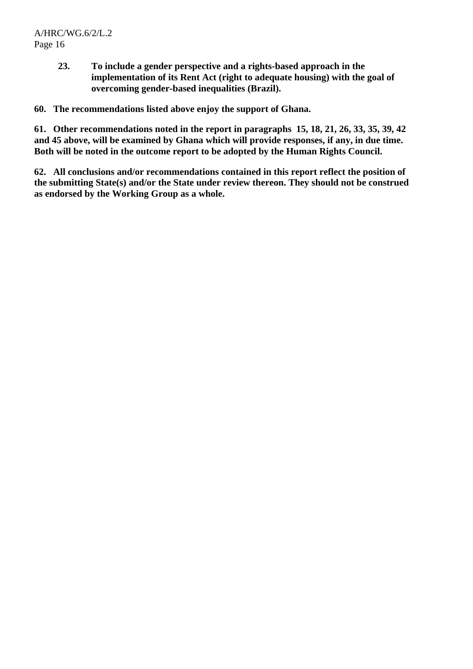**23. To include a gender perspective and a rights-based approach in the implementation of its Rent Act (right to adequate housing) with the goal of overcoming gender-based inequalities (Brazil).** 

**60. The recommendations listed above enjoy the support of Ghana.** 

**61. Other recommendations noted in the report in paragraphs 15, 18, 21, 26, 33, 35, 39, 42 and 45 above, will be examined by Ghana which will provide responses, if any, in due time. Both will be noted in the outcome report to be adopted by the Human Rights Council.** 

**62. All conclusions and/or recommendations contained in this report reflect the position of the submitting State(s) and/or the State under review thereon. They should not be construed as endorsed by the Working Group as a whole.**